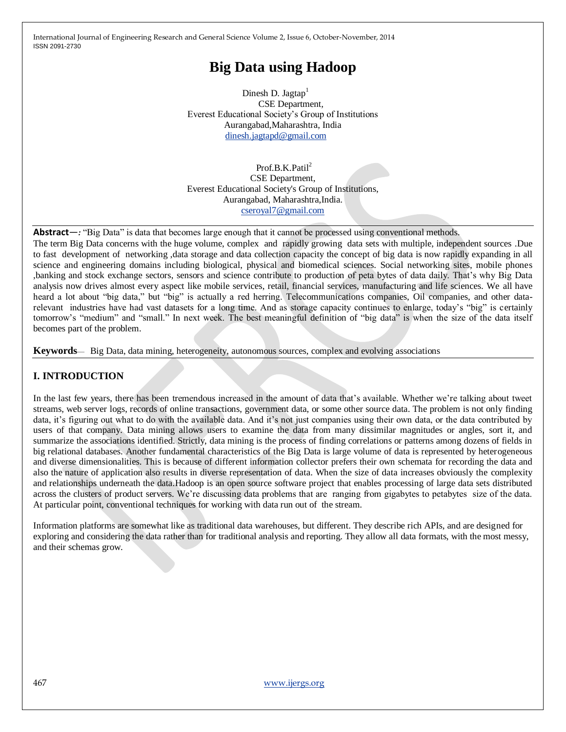# **Big Data using Hadoop**

Dinesh D. Jagtap<sup>1</sup> CSE Department*,* Everest Educational Society's Group of Institutions Aurangabad,Maharashtra, India [dinesh.jagtapd@gmail.com](mailto:dinesh.jagtapd@gmail.com)

Prof.B.K.Patil<sup>2</sup> CSE Department, Everest Educational Society's Group of Institutions, Aurangabad, Maharashtra,India. [cseroyal7@gmail.com](mailto:cseroyal7@gmail.com)

Abstract—*:* "Big Data" is data that becomes large enough that it cannot be processed using conventional methods. The term Big Data concerns with the huge volume, complex and rapidly growing data sets with multiple, independent sources .Due to fast development of networking ,data storage and data collection capacity the concept of big data is now rapidly expanding in all science and engineering domains including biological, physical and biomedical sciences. Social networking sites, mobile phones ,banking and stock exchange sectors, sensors and science contribute to production of peta bytes of data daily. That's why Big Data analysis now drives almost every aspect like mobile services, retail, financial services, manufacturing and life sciences. We all have heard a lot about "big data," but "big" is actually a red herring. Telecommunications companies, Oil companies, and other datarelevant industries have had vast datasets for a long time. And as storage capacity continues to enlarge, today's "big" is certainly tomorrow's "medium" and "small." In next week. The best meaningful definition of "big data" is when the size of the data itself becomes part of the problem.

**Keywords**— Big Data, data mining, heterogeneity, autonomous sources, complex and evolving associations

# **I. INTRODUCTION**

In the last few years, there has been tremendous increased in the amount of data that's available. Whether we're talking about tweet streams, web server logs, records of online transactions, government data, or some other source data. The problem is not only finding data, it's figuring out what to do with the available data. And it's not just companies using their own data, or the data contributed by users of that company. Data mining allows users to examine the data from many dissimilar magnitudes or angles, sort it, and summarize the associations identified. Strictly, data mining is the process of finding correlations or patterns among dozens of fields in big relational databases. Another fundamental characteristics of the Big Data is large volume of data is represented by heterogeneous and diverse dimensionalities. This is because of different information collector prefers their own schemata for recording the data and also the nature of application also results in diverse representation of data. When the size of data increases obviously the complexity and relationships underneath the data.Hadoop is an open source software project that enables processing of large data sets distributed across the clusters of product servers. We're discussing data problems that are ranging from gigabytes to petabytes size of the data. At particular point, conventional techniques for working with data run out of the stream.

Information platforms are somewhat like as traditional data warehouses, but different. They describe rich APIs, and are designed for exploring and considering the data rather than for traditional analysis and reporting. They allow all data formats, with the most messy, and their schemas grow.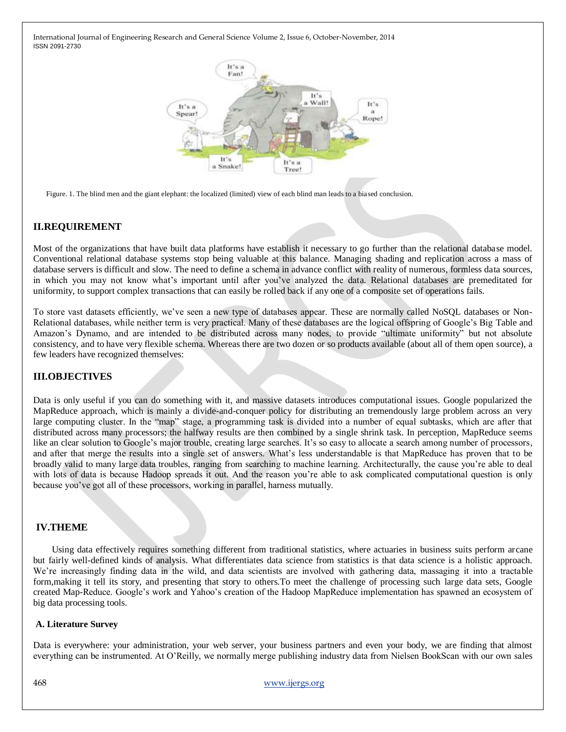

Figure. 1. The blind men and the giant elephant: the localized (limited) view of each blind man leads to a biased conclusion.

## **II.REQUIREMENT**

Most of the organizations that have built data platforms have establish it necessary to go further than the relational database model. Conventional relational database systems stop being valuable at this balance. Managing shading and replication across a mass of database servers is difficult and slow. The need to define a schema in advance conflict with reality of numerous, formless data sources, in which you may not know what's important until after you've analyzed the data. Relational databases are premeditated for uniformity, to support complex transactions that can easily be rolled back if any one of a composite set of operations fails.

To store vast datasets efficiently, we've seen a new type of databases appear. These are normally called NoSQL databases or Non-Relational databases, while neither term is very practical. Many of these databases are the logical offspring of Google's Big Table and Amazon's Dynamo, and are intended to be distributed across many nodes, to provide "ultimate uniformity" but not absolute consistency, and to have very flexible schema. Whereas there are two dozen or so products available (about all of them open source), a few leaders have recognized themselves:

## **III.OBJECTIVES**

Data is only useful if you can do something with it, and massive datasets introduces computational issues. Google popularized the MapReduce approach, which is mainly a divide-and-conquer policy for distributing an tremendously large problem across an very large computing cluster. In the "map" stage, a programming task is divided into a number of equal subtasks, which are after that distributed across many processors; the halfway results are then combined by a single shrink task. In perception, MapReduce seems like an clear solution to Google's major trouble, creating large searches. It's so easy to allocate a search among number of processors, and after that merge the results into a single set of answers. What's less understandable is that MapReduce has proven that to be broadly valid to many large data troubles, ranging from searching to machine learning. Architecturally, the cause you're able to deal with lots of data is because Hadoop spreads it out. And the reason you're able to ask complicated computational question is only because you've got all of these processors, working in parallel, harness mutually.

### **IV.THEME**

 Using data effectively requires something different from traditional statistics, where actuaries in business suits perform arcane but fairly well-defined kinds of analysis. What differentiates data science from statistics is that data science is a holistic approach. We're increasingly finding data in the wild, and data scientists are involved with gathering data, massaging it into a tractable form,making it tell its story, and presenting that story to others.To meet the challenge of processing such large data sets, Google created Map-Reduce. Google's work and Yahoo's creation of the Hadoop MapReduce implementation has spawned an ecosystem of big data processing tools.

### **A. Literature Survey**

Data is everywhere: your administration, your web server, your business partners and even your body, we are finding that almost everything can be instrumented. At O'Reilly, we normally merge publishing industry data from Nielsen BookScan with our own sales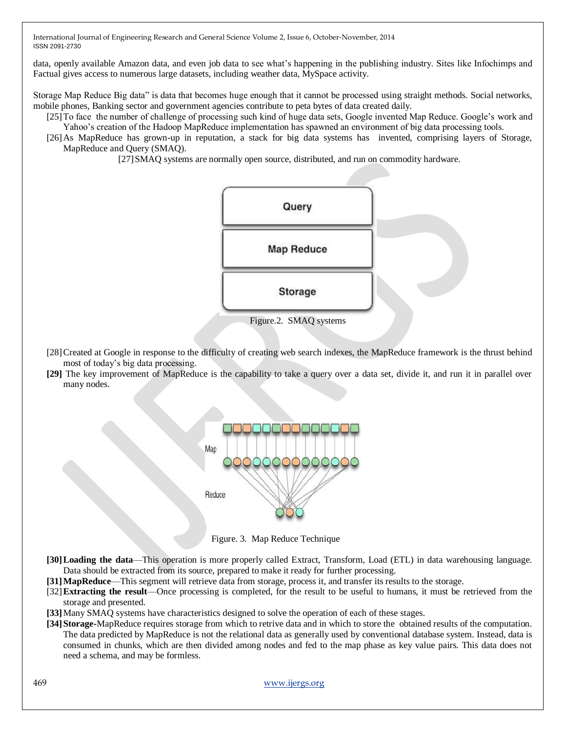data, openly available Amazon data, and even job data to see what's happening in the publishing industry. Sites like Infochimps and Factual gives access to numerous large datasets, including weather data, MySpace activity.

Storage Map Reduce Big data" is data that becomes huge enough that it cannot be processed using straight methods. Social networks, mobile phones, Banking sector and government agencies contribute to peta bytes of data created daily.

[25]To face the number of challenge of processing such kind of huge data sets, Google invented Map Reduce. Google's work and Yahoo's creation of the Hadoop MapReduce implementation has spawned an environment of big data processing tools.

[26]As MapReduce has grown-up in reputation, a stack for big data systems has invented, comprising layers of Storage, MapReduce and Query (SMAQ).

[27]SMAQ systems are normally open source, distributed, and run on commodity hardware.



- [28]Created at Google in response to the difficulty of creating web search indexes, the MapReduce framework is the thrust behind most of today's big data processing.
- **[29]** The key improvement of MapReduce is the capability to take a query over a data set, divide it, and run it in parallel over many nodes.



Figure. 3. Map Reduce Technique

- **[30]Loading the data**—This operation is more properly called Extract, Transform, Load (ETL) in data warehousing language. Data should be extracted from its source, prepared to make it ready for further processing.
- **[31]MapReduce**—This segment will retrieve data from storage, process it, and transfer its results to the storage.
- [32]**Extracting the result**—Once processing is completed, for the result to be useful to humans, it must be retrieved from the storage and presented.

**[33]**Many SMAQ systems have characteristics designed to solve the operation of each of these stages.

**[34]Storage-**MapReduce requires storage from which to retrive data and in which to store the obtained results of the computation. The data predicted by MapReduce is not the relational data as generally used by conventional database system. Instead, data is consumed in chunks, which are then divided among nodes and fed to the map phase as key value pairs. This data does not need a schema, and may be formless.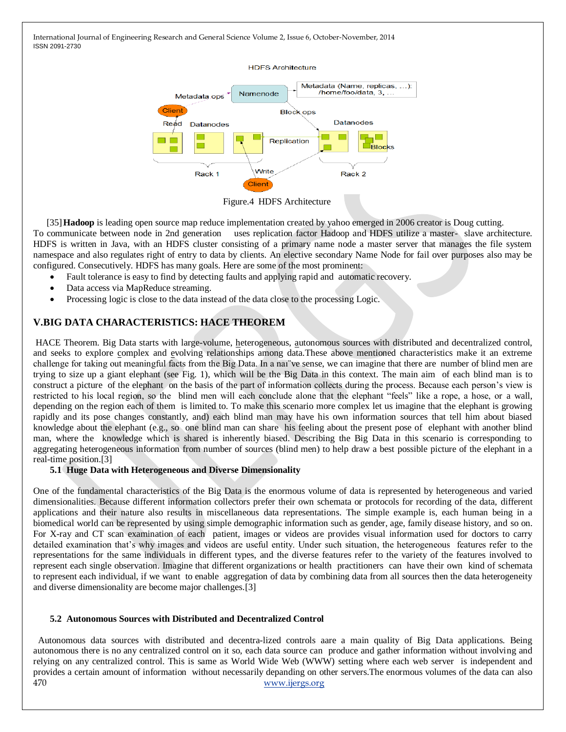

Figure.4 HDFS Architecture

[35]**Hadoop** is leading open source map reduce implementation created by yahoo emerged in 2006 creator is Doug cutting. To communicate between node in 2nd generation uses replication factor Hadoop and HDFS utilize a master- slave architecture.

HDFS is written in Java, with an HDFS cluster consisting of a primary name node a master server that manages the file system namespace and also regulates right of entry to data by clients. An elective secondary Name Node for fail over purposes also may be configured. Consecutively. HDFS has many goals. Here are some of the most prominent:

- Fault tolerance is easy to find by detecting faults and applying rapid and automatic recovery.
- Data access via MapReduce streaming.
- Processing logic is close to the data instead of the data close to the processing Logic.

# **V.BIG DATA CHARACTERISTICS: HACE THEOREM**

HACE Theorem. Big Data starts with large-volume, heterogeneous, autonomous sources with distributed and decentralized control, and seeks to explore complex and evolving relationships among data.These above mentioned characteristics make it an extreme challenge for taking out meaningful facts from the Big Data. In a naı¨ve sense, we can imagine that there are number of blind men are trying to size up a giant elephant (see Fig. 1), which will be the Big Data in this context. The main aim of each blind man is to construct a picture of the elephant on the basis of the part of information collects during the process. Because each person's view is restricted to his local region, so the blind men will each conclude alone that the elephant "feels" like a rope, a hose, or a wall, depending on the region each of them is limited to. To make this scenario more complex let us imagine that the elephant is growing rapidly and its pose changes constantly, and) each blind man may have his own information sources that tell him about biased knowledge about the elephant (e.g., so one blind man can share his feeling about the present pose of elephant with another blind man, where the knowledge which is shared is inherently biased. Describing the Big Data in this scenario is corresponding to aggregating heterogeneous information from number of sources (blind men) to help draw a best possible picture of the elephant in a real-time position.[3]

### **5.1 Huge Data with Heterogeneous and Diverse Dimensionality**

One of the fundamental characteristics of the Big Data is the enormous volume of data is represented by heterogeneous and varied dimensionalities. Because different information collectors prefer their own schemata or protocols for recording of the data, different applications and their nature also results in miscellaneous data representations. The simple example is, each human being in a biomedical world can be represented by using simple demographic information such as gender, age, family disease history, and so on. For X-ray and CT scan examination of each patient, images or videos are provides visual information used for doctors to carry detailed examination that's why images and videos are useful entity. Under such situation, the heterogeneous features refer to the representations for the same individuals in different types, and the diverse features refer to the variety of the features involved to represent each single observation. Imagine that different organizations or health practitioners can have their own kind of schemata to represent each individual, if we want to enable aggregation of data by combining data from all sources then the data heterogeneity and diverse dimensionality are become major challenges.[3]

### **5.2 Autonomous Sources with Distributed and Decentralized Control**

470 [www.ijergs.org](http://www.ijergs.org/) Autonomous data sources with distributed and decentra-lized controls aare a main quality of Big Data applications. Being autonomous there is no any centralized control on it so, each data source can produce and gather information without involving and relying on any centralized control. This is same as World Wide Web (WWW) setting where each web server is independent and provides a certain amount of information without necessarily depanding on other servers.The enormous volumes of the data can also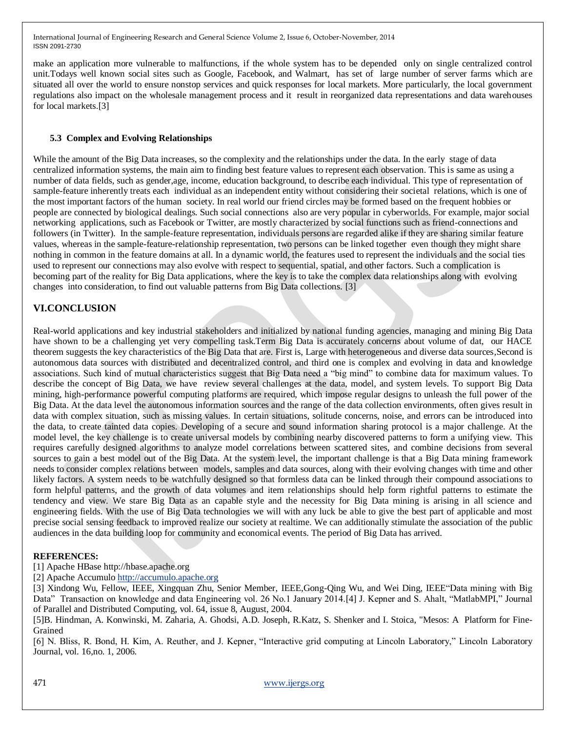make an application more vulnerable to malfunctions, if the whole system has to be depended only on single centralized control unit.Todays well known social sites such as Google, Facebook, and Walmart, has set of large number of server farms which are situated all over the world to ensure nonstop services and quick responses for local markets. More particularly, the local government regulations also impact on the wholesale management process and it result in reorganized data representations and data warehouses for local markets.[3]

## **5.3 Complex and Evolving Relationships**

While the amount of the Big Data increases, so the complexity and the relationships under the data. In the early stage of data centralized information systems, the main aim to finding best feature values to represent each observation. This is same as using a number of data fields, such as gender,age, income, education background, to describe each individual. This type of representation of sample-feature inherently treats each individual as an independent entity without considering their societal relations, which is one of the most important factors of the human society. In real world our friend circles may be formed based on the frequent hobbies or people are connected by biological dealings. Such social connections also are very popular in cyberworlds. For example, major social networking applications, such as Facebook or Twitter, are mostly characterized by social functions such as friend-connections and followers (in Twitter). In the sample-feature representation, individuals persons are regarded alike if they are sharing similar feature values, whereas in the sample-feature-relationship representation, two persons can be linked together even though they might share nothing in common in the feature domains at all. In a dynamic world, the features used to represent the individuals and the social ties used to represent our connections may also evolve with respect to sequential, spatial, and other factors. Such a complication is becoming part of the reality for Big Data applications, where the key is to take the complex data relationships along with evolving changes into consideration, to find out valuable patterns from Big Data collections. [3]

# **VI.CONCLUSION**

Real-world applications and key industrial stakeholders and initialized by national funding agencies, managing and mining Big Data have shown to be a challenging yet very compelling task.Term Big Data is accurately concerns about volume of dat, our HACE theorem suggests the key characteristics of the Big Data that are. First is, Large with heterogeneous and diverse data sources,Second is autonomous data sources with distributed and decentralized control, and third one is complex and evolving in data and knowledge associations. Such kind of mutual characteristics suggest that Big Data need a "big mind" to combine data for maximum values. To describe the concept of Big Data, we have review several challenges at the data, model, and system levels. To support Big Data mining, high-performance powerful computing platforms are required, which impose regular designs to unleash the full power of the Big Data. At the data level the autonomous information sources and the range of the data collection environments, often gives result in data with complex situation, such as missing values. In certain situations, solitude concerns, noise, and errors can be introduced into the data, to create tainted data copies. Developing of a secure and sound information sharing protocol is a major challenge. At the model level, the key challenge is to create universal models by combining nearby discovered patterns to form a unifying view. This requires carefully designed algorithms to analyze model correlations between scattered sites, and combine decisions from several sources to gain a best model out of the Big Data. At the system level, the important challenge is that a Big Data mining framework needs to consider complex relations between models, samples and data sources, along with their evolving changes with time and other likely factors. A system needs to be watchfully designed so that formless data can be linked through their compound associations to form helpful patterns, and the growth of data volumes and item relationships should help form rightful patterns to estimate the tendency and view. We stare Big Data as an capable style and the necessity for Big Data mining is arising in all science and engineering fields. With the use of Big Data technologies we will with any luck be able to give the best part of applicable and most precise social sensing feedback to improved realize our society at realtime. We can additionally stimulate the association of the public audiences in the data building loop for community and economical events. The period of Big Data has arrived.

## **REFERENCES:**

[1] Apache HBase http://hbase.apache.org

[2] Apache Accumul[o http://accumulo.apache.org](http://accumulo.apache.org/)

[3] Xindong Wu, Fellow, IEEE, Xingquan Zhu, Senior Member, IEEE,Gong-Qing Wu, and Wei Ding, IEEE"Data mining with Big Data" Transaction on knowledge and data Engineering vol. 26 No.1 January 2014.[4] J. Kepner and S. Ahalt, "MatlabMPI," Journal of Parallel and Distributed Computing, vol. 64, issue 8, August, 2004.

[5]B. Hindman, A. Konwinski, M. Zaharia, A. Ghodsi, A.D. Joseph, R.Katz, S. Shenker and I. Stoica, "Mesos: A Platform for Fine-Grained

[6] N. Bliss, R. Bond, H. Kim, A. Reuther, and J. Kepner, "Interactive grid computing at Lincoln Laboratory," Lincoln Laboratory Journal, vol. 16,no. 1, 2006.